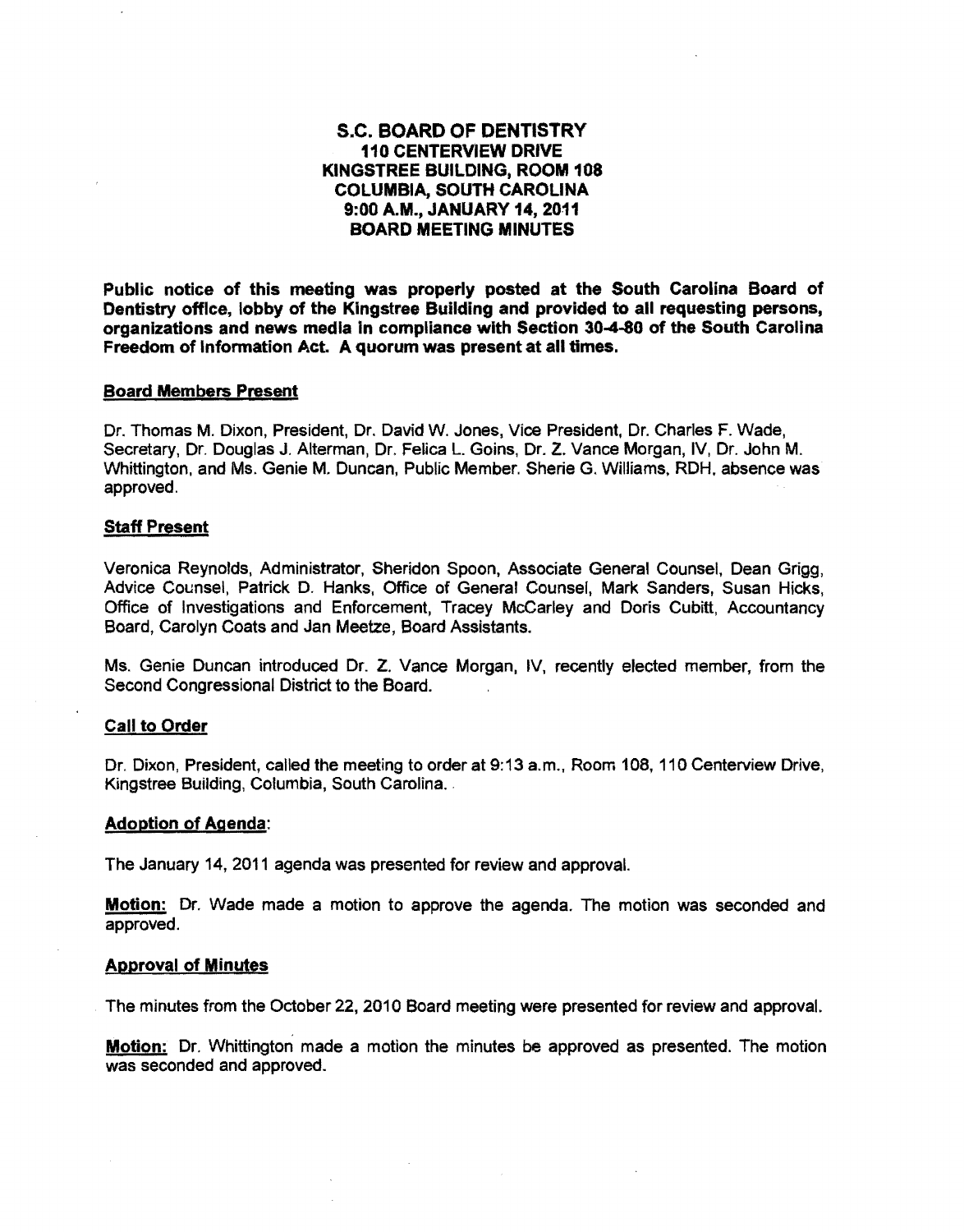# S.C. BOARD OF DENTISTRY 110 CENTERVIEW DRIVE KINGSTREE BUILDING, ROOM 108 COLUMBIA, SOUTH CAROLINA 9:00 A.M., JANUARY 14,2011 BOARD MEETING MINUTES

Public notice of this meeting was properly posted at the South Carolina Board of Dentistry office, lobby of the Kingstree Building and provided to all requesting persons, organizations and news media in compliance with Section 30-4-80 of the South Carolina Freedom of Information Act. A quorum was present at all times.

#### **Board Members Present**

Dr. Thomas M. Dixon, President, Dr. David W. Jones, Vice President, Dr. Charles F. Wade, Secretary, Dr. Douglas J. Alterman, Dr. Felica L. Goins, Dr. Z. Vance Morgan, IV, Dr. John M. Whittington, and Ms. Genie M. Duncan, Public Member. Sherie G. Williams, RDH, absence was approved.

#### Staff Present

Veronica Reynolds, Administrator, Sheridon Spoon, Associate General Counsel, Dean Grigg, Advice Counsel, Patrick D. Hanks, Office of General Counsel, Mark Sanders, Susan Hicks, Office of Investigations and Enforcement, Tracey McCarley and Doris Cubitt, Accountancy Board, Carolyn Coats and Jan Meetze, Board Assistants.

Ms. Genie Duncan introduced Dr. Z. Vance Morgan, IV, recently elected member, from the Second Congressional District to the Board.

## Call to Order

Dr. Dixon, PreSident, called the meeting to order at 9:13 a.m., Room 108, 110 Centerview Drive, Kingstree Building, Columbia, South Carolina.

#### Adoption of Agenda:

The January 14,2011 agenda was presented for review and approval.

**Motion:** Dr. Wade made a motion to approve the agenda. The motion was seconded and approved.

#### Approval of Minutes

The minutes from the October 22, 2010 Board meeting were presented for review and approval.

Motion: Dr. Whittington made a motion the minutes be approved as presented. The motion was seconded and approved.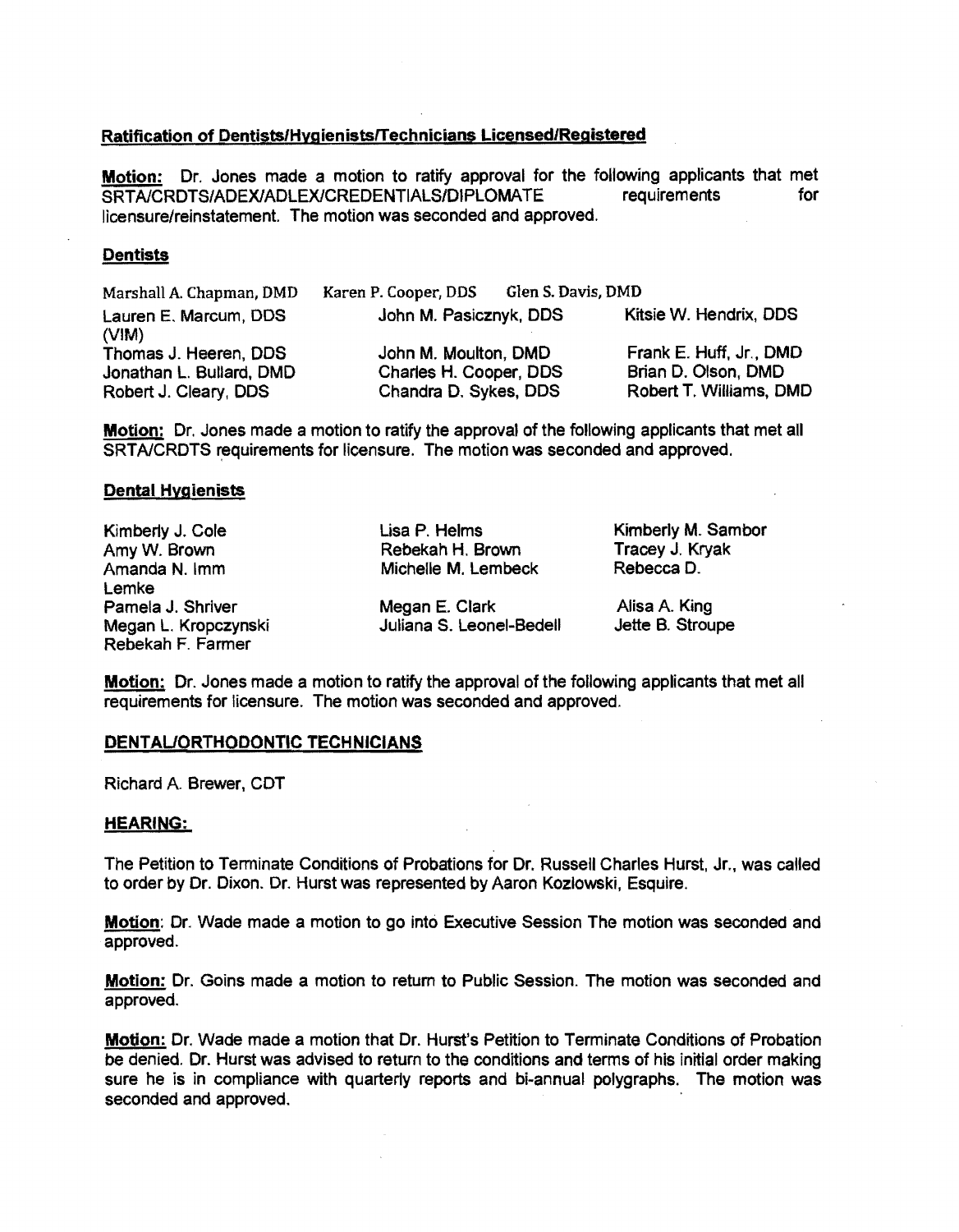## Ratification of Dentists/HygienistsITechnicians Licensed/Registered

Motion: Dr. Jones made a motion to ratify approval for the following applicants that met<br>SRTA/CRDTS/ADEX/ADLEX/CREDENTIALS/DIPLOMATE requirements for SRTA/CRDTS/ADEX/ADLEX/CREDENTIALS/DIPLOMATE licensure/reinstatement. The motion was seconded and approved.

## **Dentists**

| Marshall A. Chapman, DMD       | Karen P. Cooper, DDS   | Glen S. Davis, DMD |                         |
|--------------------------------|------------------------|--------------------|-------------------------|
| Lauren E. Marcum, DDS<br>(VIM) | John M. Pasicznyk, DDS |                    | Kitsie W. Hendrix, DDS  |
| Thomas J. Heeren, DDS          | John M. Moulton, DMD   |                    | Frank E. Huff, Jr., DMD |
| Jonathan L. Bullard, DMD       | Charles H. Cooper, DDS |                    | Brian D. Olson, DMD     |
| Robert J. Cleary, DDS          | Chandra D. Sykes, DDS  |                    | Robert T. Williams, DMD |

Motion: Dr. Jones made a motion to ratify the approval of the following applicants that met all SRTA/CRDTS requirements for licensure. The motion was seconded and approved.

## Dental Hygienists

Kimberly J. Cole Lisa P. Helms Kimberly M. Sambor<br>
Amy W. Brown Rebekah H. Brown Tracey J. Kryak Amy W. Brown **Rebekah H. Brown Tracey J. Kryakah H. Brown** Tracey J. Kryakah H. Brown Tracey J. Kryakah H. Brown Tracey J. Kryakah H. Brown Tracey J. Kryakah H. Brown Tracey J. Kryakah H. Brown Tracey J. Kryakah H. Brown T Lemke Megan L. Kropczynski Rebekah F. Farmer

Michelle M. Lembeck

Pamela J. Shriver **Megan E. Clark** Alisa A. King<br>Megan L. Kropczynski **Megan S. Leonel-Bedell** Jette B. Stroupe

Motion: Dr. Jones made a motion to ratify the approval of the following applicants that met all requirements for licensure. The motion was seconded and approved.

### DENTAUORTHODONTIC TECHNiCIANS

Richard A Brewer, COT

### HEARING:

The Petition to Terminate Conditions of Probations for Dr. Russell Charles Hurst, Jr., was called to order by Dr. Dixon. Dr. Hurst was represented by Aaron Kozlowski, Esquire.

**Motion:** Dr. Wade made a motion to go into Executive Session The motion was seconded and approved.

Motion: Dr. GOins made a motion to return to Public SeSSion. The motion was seconded and approved.

Motion: Dr. Wade made a motion that Dr. Hurst's Petition to Terminate Conditions of Probation be denied. Dr. Hurst was advised to return to the conditions and terms of his initial order making sure he is in compliance with quarterly reports and bi-annual polygraphs. The motion was seconded and approved.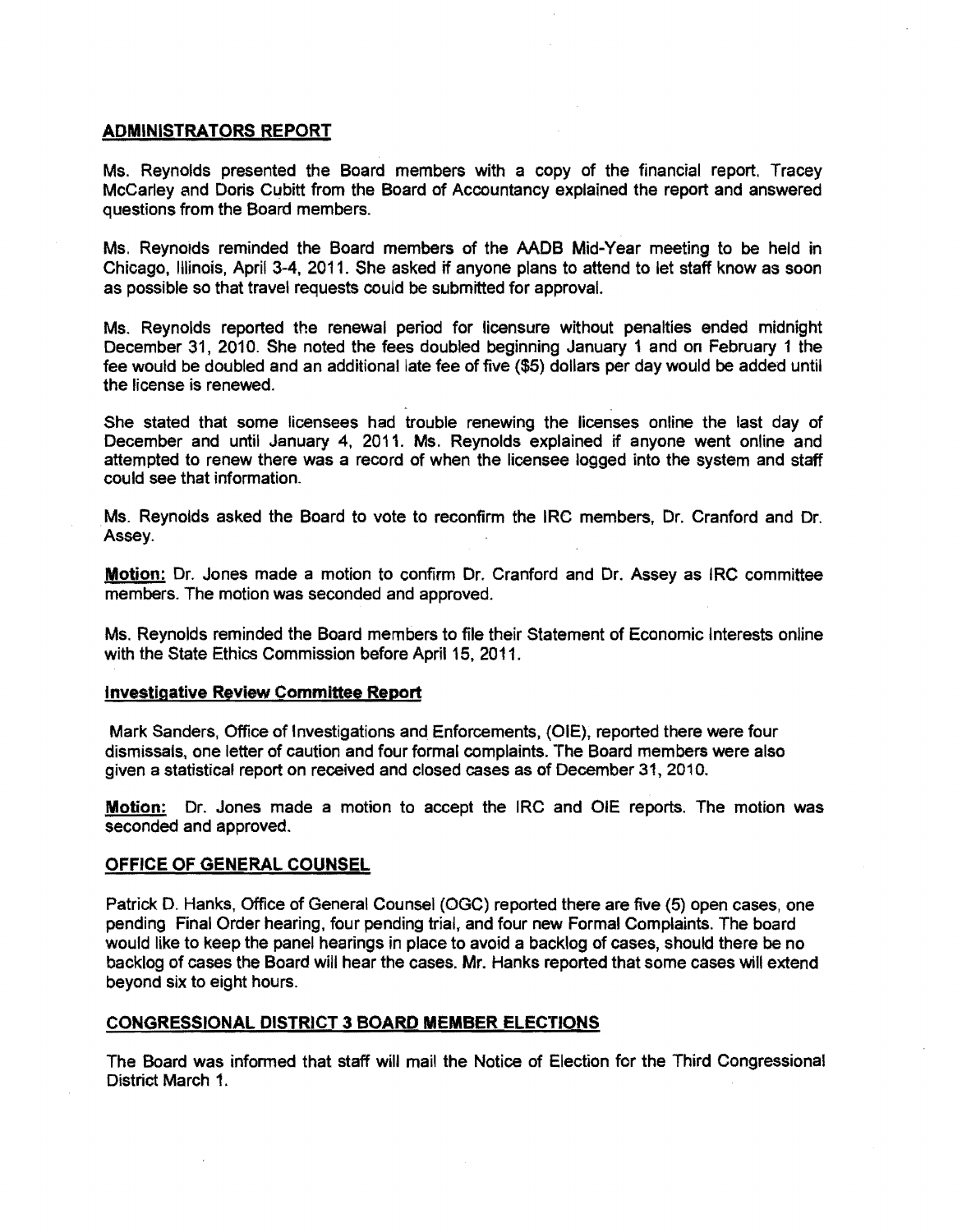### ADMINISTRATORS REPORT

Ms. Reynolds presented the Board members with a copy of the financial report. Tracey McCarley and Doris Cubitt from the Board of Accountancy explained the report and answered questions from the Board members.

Ms. Reynolds reminded the Board members of the AADB Mid-Year meeting to be held in Chicago, Illinois, April 3-4, 2011. She asked if anyone plans to attend to let staff know as soon as possible so that travel requests could be submitted for approval.

Ms. Reynolds reported the renewal period for licensure without penalties ended midnight December 31, 2010. She noted the fees doubled beginning January 1 and on February 1 the fee would be doubled and an additional late fee of five (\$5) dollars per day would be added until the license is renewed.

She stated that some licensees had trouble renewing the licenses online the last day of December and until January 4, 2011. Ms. Reynolds explained if anyone went online and attempted to renew there was a record of when the licensee logged into the system and staff could see that information.

Ms. Reynolds asked the Board to vote to reconfirm the IRe members, Dr. Cranford and Dr. Assey.

Motion: Dr. Jones made a motion to confirm Dr. Cranford and Dr. Assey as IRC committee members. The motion was seconded and approved.

Ms. Reynolds reminded the Board members to file their Statement of Economic Interests online with the State Ethics Commission before April 15, 2011.

### Investigative Review Committee Report

Mark Sanders, Office of Investigations and Enforcements. (DIE), reported there were four dismissals, one letter of caution and four formal complaints. The Board members were also given a statistical report on received and closed cases as of December 31,2010.

Motion: Dr. Jones made a motion to accept the IRC and OIE reports. The motion was seconded and approved.

### OFFICE OF GENERAL COUNSEL

Patrick D. Hanks, Office of General Counsel (OGC) reported there are five (5) open cases, one pending Final Order hearing. four pending trial, and four new Formal Complaints. The board would like to keep the panel hearings in place to avoid a backlog of cases, should there be no backlog of cases the Board will hear the cases. Mr. Hanks reported that some cases will extend beyond six to eight hours.

#### CONGRESSIONAL DISTRICT 3 BOARD MEMBER ELECTIONS

The Board was informed that staff will mail the Notice of Election for the Third Congressional District March 1.